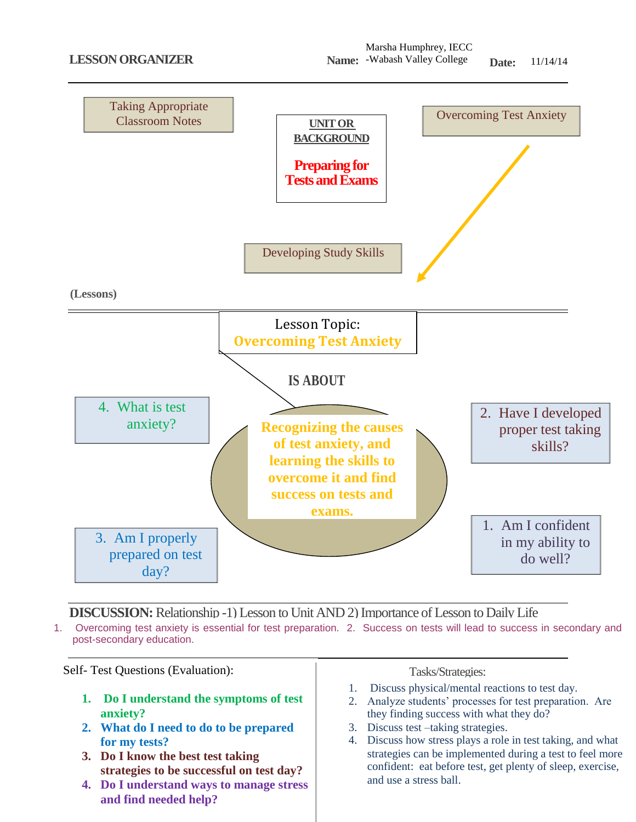

**DISCUSSION:** Relationship -1) Lesson to Unit AND 2) Importance of Lesson to Daily Life 1. Overcoming test anxiety is essential for test preparation. 2. Success on tests will lead to success in secondary and post-secondary education.



- **1. Do I understand the symptoms of test anxiety?**
- **2. What do I need to do to be prepared for my tests?**
- **3. Do I know the best test taking strategies to be successful on test day?**
- **4. Do I understand ways to manage stress and find needed help?**

- 1. Discuss physical/mental reactions to test day.
- 2. Analyze students' processes for test preparation. Are they finding success with what they do?
- 3. Discuss test –taking strategies.
- 4. Discuss how stress plays a role in test taking, and what strategies can be implemented during a test to feel more confident: eat before test, get plenty of sleep, exercise, and use a stress ball.